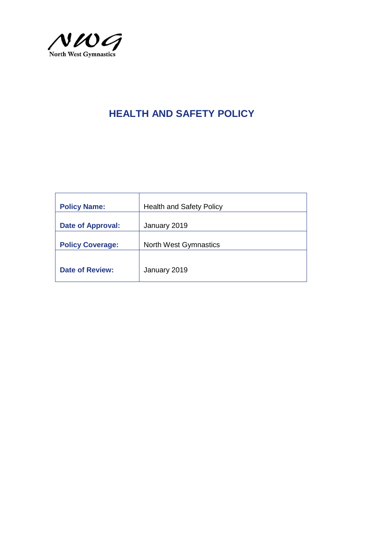

| <b>Policy Name:</b>      | <b>Health and Safety Policy</b> |
|--------------------------|---------------------------------|
| <b>Date of Approval:</b> | January 2019                    |
| <b>Policy Coverage:</b>  | <b>North West Gymnastics</b>    |
|                          |                                 |
| <b>Date of Review:</b>   | January 2019                    |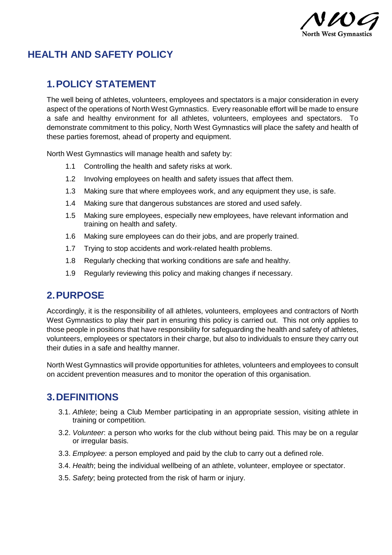

### **1.POLICY STATEMENT**

The well being of athletes, volunteers, employees and spectators is a major consideration in every aspect of the operations of North West Gymnastics. Every reasonable effort will be made to ensure a safe and healthy environment for all athletes, volunteers, employees and spectators. To demonstrate commitment to this policy, North West Gymnastics will place the safety and health of these parties foremost, ahead of property and equipment.

North West Gymnastics will manage health and safety by:

- 1.1 Controlling the health and safety risks at work.
- 1.2 Involving employees on health and safety issues that affect them.
- 1.3 Making sure that where employees work, and any equipment they use, is safe.
- 1.4 Making sure that dangerous substances are stored and used safely.
- 1.5 Making sure employees, especially new employees, have relevant information and training on health and safety.
- 1.6 Making sure employees can do their jobs, and are properly trained.
- 1.7 Trying to stop accidents and work-related health problems.
- 1.8 Regularly checking that working conditions are safe and healthy.
- 1.9 Regularly reviewing this policy and making changes if necessary.

### **2.PURPOSE**

Accordingly, it is the responsibility of all athletes, volunteers, employees and contractors of North West Gymnastics to play their part in ensuring this policy is carried out. This not only applies to those people in positions that have responsibility for safeguarding the health and safety of athletes, volunteers, employees or spectators in their charge, but also to individuals to ensure they carry out their duties in a safe and healthy manner.

North West Gymnastics will provide opportunities for athletes, volunteers and employees to consult on accident prevention measures and to monitor the operation of this organisation.

### **3.DEFINITIONS**

- 3.1. *Athlete*; being a Club Member participating in an appropriate session, visiting athlete in training or competition.
- 3.2. *Volunteer*: a person who works for the club without being paid. This may be on a regular or irregular basis.
- 3.3. *Employee*: a person employed and paid by the club to carry out a defined role.
- 3.4. *Health*; being the individual wellbeing of an athlete, volunteer, employee or spectator.
- 3.5. *Safety*; being protected from the risk of harm or injury.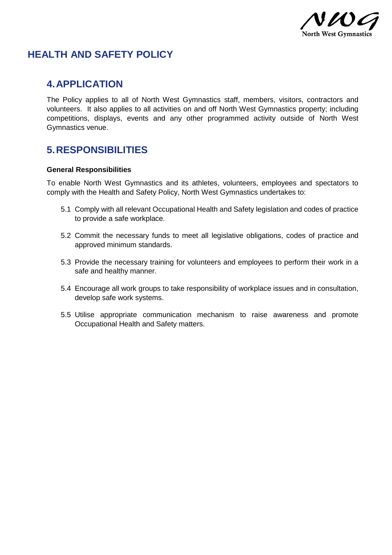

#### **4.APPLICATION**

The Policy applies to all of North West Gymnastics staff, members, visitors, contractors and volunteers. It also applies to all activities on and off North West Gymnastics property; including competitions, displays, events and any other programmed activity outside of North West Gymnastics venue.

### **5.RESPONSIBILITIES**

#### **General Responsibilities**

To enable North West Gymnastics and its athletes, volunteers, employees and spectators to comply with the Health and Safety Policy, North West Gymnastics undertakes to:

- 5.1 Comply with all relevant Occupational Health and Safety legislation and codes of practice to provide a safe workplace.
- 5.2 Commit the necessary funds to meet all legislative obligations, codes of practice and approved minimum standards.
- 5.3 Provide the necessary training for volunteers and employees to perform their work in a safe and healthy manner.
- 5.4 Encourage all work groups to take responsibility of workplace issues and in consultation, develop safe work systems.
- 5.5 Utilise appropriate communication mechanism to raise awareness and promote Occupational Health and Safety matters.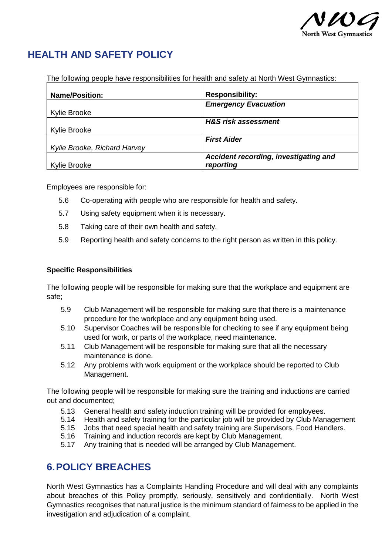

The following people have responsibilities for health and safety at North West Gymnastics:

| <b>Name/Position:</b>        | <b>Responsibility:</b>                |
|------------------------------|---------------------------------------|
|                              | <b>Emergency Evacuation</b>           |
| <b>Kylie Brooke</b>          |                                       |
|                              | <b>H&amp;S risk assessment</b>        |
| <b>Kylie Brooke</b>          |                                       |
|                              | <b>First Aider</b>                    |
| Kylie Brooke, Richard Harvey |                                       |
|                              | Accident recording, investigating and |
| Kylie Brooke                 | reporting                             |

Employees are responsible for:

- 5.6 Co-operating with people who are responsible for health and safety.
- 5.7 Using safety equipment when it is necessary.
- 5.8 Taking care of their own health and safety.
- 5.9 Reporting health and safety concerns to the right person as written in this policy.

#### **Specific Responsibilities**

The following people will be responsible for making sure that the workplace and equipment are safe;

- 5.9 Club Management will be responsible for making sure that there is a maintenance procedure for the workplace and any equipment being used.
- 5.10 Supervisor Coaches will be responsible for checking to see if any equipment being used for work, or parts of the workplace, need maintenance.
- 5.11 Club Management will be responsible for making sure that all the necessary maintenance is done.
- 5.12 Any problems with work equipment or the workplace should be reported to Club Management.

The following people will be responsible for making sure the training and inductions are carried out and documented;

- 5.13 General health and safety induction training will be provided for employees.
- 5.14 Health and safety training for the particular job will be provided by Club Management
- 5.15 Jobs that need special health and safety training are Supervisors, Food Handlers.
- 5.16 Training and induction records are kept by Club Management.
- 5.17 Any training that is needed will be arranged by Club Management.

### **6.POLICY BREACHES**

North West Gymnastics has a Complaints Handling Procedure and will deal with any complaints about breaches of this Policy promptly, seriously, sensitively and confidentially. North West Gymnastics recognises that natural justice is the minimum standard of fairness to be applied in the investigation and adjudication of a complaint.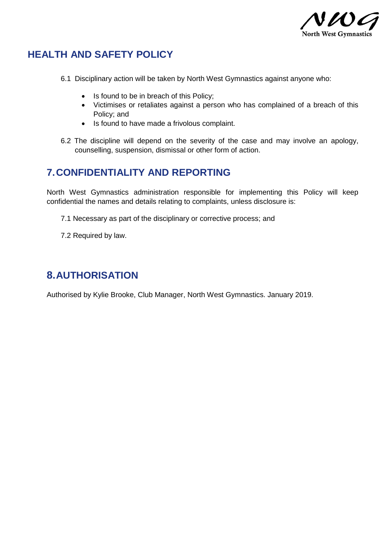

- 6.1 Disciplinary action will be taken by North West Gymnastics against anyone who:
	- Is found to be in breach of this Policy;
	- Victimises or retaliates against a person who has complained of a breach of this Policy; and
	- Is found to have made a frivolous complaint.
- 6.2 The discipline will depend on the severity of the case and may involve an apology, counselling, suspension, dismissal or other form of action.

### **7.CONFIDENTIALITY AND REPORTING**

North West Gymnastics administration responsible for implementing this Policy will keep confidential the names and details relating to complaints, unless disclosure is:

- 7.1 Necessary as part of the disciplinary or corrective process; and
- 7.2 Required by law.

## **8.AUTHORISATION**

Authorised by Kylie Brooke, Club Manager, North West Gymnastics. January 2019.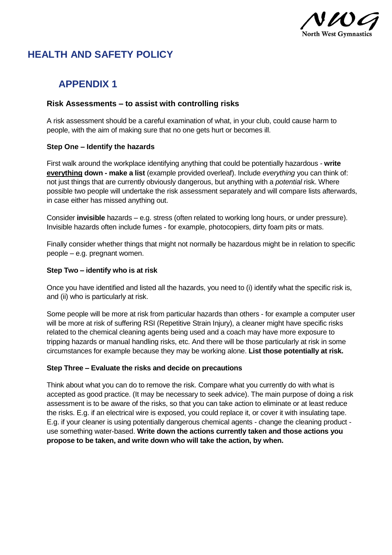

## **APPENDIX 1**

#### **Risk Assessments – to assist with controlling risks**

A risk assessment should be a careful examination of what, in your club, could cause harm to people, with the aim of making sure that no one gets hurt or becomes ill.

#### **Step One – Identify the hazards**

First walk around the workplace identifying anything that could be potentially hazardous - **write everything down - make a list** (example provided overleaf). Include *everything* you can think of: not just things that are currently obviously dangerous, but anything with a *potential* risk. Where possible two people will undertake the risk assessment separately and will compare lists afterwards, in case either has missed anything out.

Consider **invisible** hazards – e.g. stress (often related to working long hours, or under pressure). Invisible hazards often include fumes - for example, photocopiers, dirty foam pits or mats.

Finally consider whether things that might not normally be hazardous might be in relation to specific people – e.g. pregnant women.

#### **Step Two – identify who is at risk**

Once you have identified and listed all the hazards, you need to (i) identify what the specific risk is, and (ii) who is particularly at risk.

Some people will be more at risk from particular hazards than others - for example a computer user will be more at risk of suffering RSI (Repetitive Strain Injury), a cleaner might have specific risks related to the chemical cleaning agents being used and a coach may have more exposure to tripping hazards or manual handling risks, etc. And there will be those particularly at risk in some circumstances for example because they may be working alone. **List those potentially at risk.**

#### **Step Three – Evaluate the risks and decide on precautions**

Think about what you can do to remove the risk. Compare what you currently do with what is accepted as good practice. (It may be necessary to seek advice). The main purpose of doing a risk assessment is to be aware of the risks, so that you can take action to eliminate or at least reduce the risks. E.g. if an electrical wire is exposed, you could replace it, or cover it with insulating tape. E.g. if your cleaner is using potentially dangerous chemical agents - change the cleaning product use something water-based. **Write down the actions currently taken and those actions you propose to be taken, and write down who will take the action, by when.**